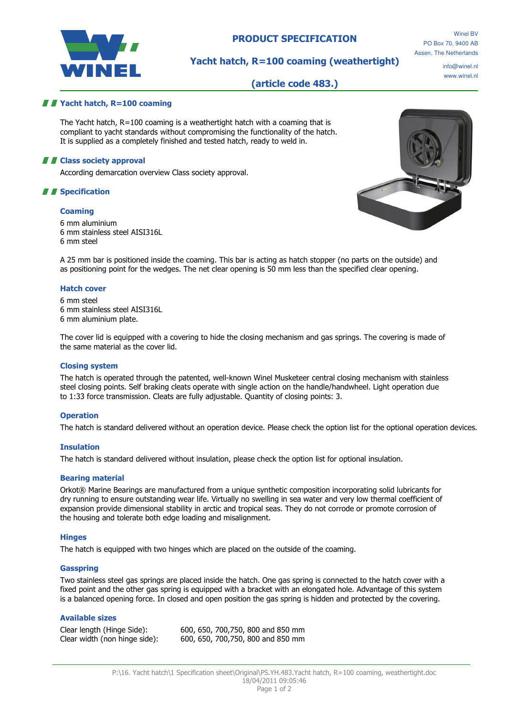

# PRODUCT SPECIFICATION

# Yacht hatch, R=100 coaming (weathertight)

info@winel.nl www.winel.nl

# (article code 483.)

## *II* Yacht hatch, R=100 coaming

The Yacht hatch, R=100 coaming is a weathertight hatch with a coaming that is compliant to yacht standards without compromising the functionality of the hatch. It is supplied as a completely finished and tested hatch, ready to weld in.

## **A E** Class society approval

According demarcation overview Class society approval.

## *II* Specification

### **Coaming**

6 mm aluminium 6 mm stainless steel AISI316L 6 mm steel



A 25 mm bar is positioned inside the coaming. This bar is acting as hatch stopper (no parts on the outside) and as positioning point for the wedges. The net clear opening is 50 mm less than the specified clear opening.

### Hatch cover

6 mm steel 6 mm stainless steel AISI316L 6 mm aluminium plate.

The cover lid is equipped with a covering to hide the closing mechanism and gas springs. The covering is made of the same material as the cover lid.

#### Closing system

The hatch is operated through the patented, well-known Winel Musketeer central closing mechanism with stainless steel closing points. Self braking cleats operate with single action on the handle/handwheel. Light operation due to 1:33 force transmission. Cleats are fully adjustable. Quantity of closing points: 3.

#### **Operation**

The hatch is standard delivered without an operation device. Please check the option list for the optional operation devices.

#### Insulation

The hatch is standard delivered without insulation, please check the option list for optional insulation.

## Bearing material

Orkot® Marine Bearings are manufactured from a unique synthetic composition incorporating solid lubricants for dry running to ensure outstanding wear life. Virtually no swelling in sea water and very low thermal coefficient of expansion provide dimensional stability in arctic and tropical seas. They do not corrode or promote corrosion of the housing and tolerate both edge loading and misalignment.

#### **Hinges**

The hatch is equipped with two hinges which are placed on the outside of the coaming.

#### Gasspring

Two stainless steel gas springs are placed inside the hatch. One gas spring is connected to the hatch cover with a fixed point and the other gas spring is equipped with a bracket with an elongated hole. Advantage of this system is a balanced opening force. In closed and open position the gas spring is hidden and protected by the covering.

## Available sizes

Clear length (Hinge Side): 600, 650, 700,750, 800 and 850 mm Clear width (non hinge side): 600, 650, 700,750, 800 and 850 mm